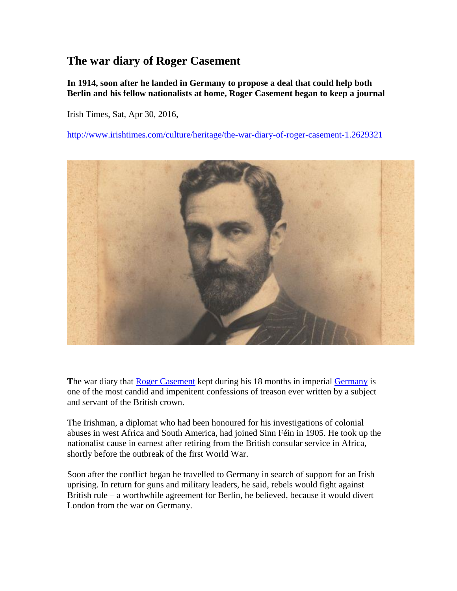# **The war diary of Roger Casement**

**In 1914, soon after he landed in Germany to propose a deal that could help both Berlin and his fellow nationalists at home, Roger Casement began to keep a journal**

Irish Times, Sat, Apr 30, 2016,

<http://www.irishtimes.com/culture/heritage/the-war-diary-of-roger-casement-1.2629321>



The war diary that **Roger Casement** kept during his 18 months in imperial **Germany** is one of the most candid and impenitent confessions of treason ever written by a subject and servant of the British crown.

The Irishman, a diplomat who had been honoured for his investigations of colonial abuses in west Africa and South America, had joined Sinn Féin in 1905. He took up the nationalist cause in earnest after retiring from the British consular service in Africa, shortly before the outbreak of the first World War.

Soon after the conflict began he travelled to Germany in search of support for an Irish uprising. In return for guns and military leaders, he said, rebels would fight against British rule – a worthwhile agreement for Berlin, he believed, because it would divert London from the war on Germany.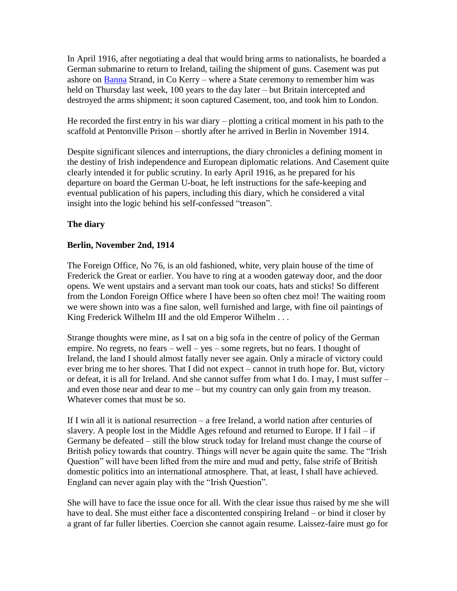In April 1916, after negotiating a deal that would bring arms to nationalists, he boarded a German submarine to return to Ireland, tailing the shipment of guns. Casement was put ashore on [Banna](http://www.irishtimes.com/search/search-7.1213540?tag_location=Banna&article=true) Strand, in Co Kerry – where a State ceremony to remember him was held on Thursday last week, 100 years to the day later – but Britain intercepted and destroyed the arms shipment; it soon captured Casement, too, and took him to London.

He recorded the first entry in his war diary – plotting a critical moment in his path to the scaffold at Pentonville Prison – shortly after he arrived in Berlin in November 1914.

Despite significant silences and interruptions, the diary chronicles a defining moment in the destiny of Irish independence and European diplomatic relations. And Casement quite clearly intended it for public scrutiny. In early April 1916, as he prepared for his departure on board the German U-boat, he left instructions for the safe-keeping and eventual publication of his papers, including this diary, which he considered a vital insight into the logic behind his self-confessed "treason".

# **The diary**

### **Berlin, November 2nd, 1914**

The Foreign Office, No 76, is an old fashioned, white, very plain house of the time of Frederick the Great or earlier. You have to ring at a wooden gateway door, and the door opens. We went upstairs and a servant man took our coats, hats and sticks! So different from the London Foreign Office where I have been so often chez moi! The waiting room we were shown into was a fine salon, well furnished and large, with fine oil paintings of King Frederick Wilhelm III and the old Emperor Wilhelm . . .

Strange thoughts were mine, as I sat on a big sofa in the centre of policy of the German empire. No regrets, no fears – well – yes – some regrets, but no fears. I thought of Ireland, the land I should almost fatally never see again. Only a miracle of victory could ever bring me to her shores. That I did not expect – cannot in truth hope for. But, victory or defeat, it is all for Ireland. And she cannot suffer from what I do. I may, I must suffer – and even those near and dear to me – but my country can only gain from my treason. Whatever comes that must be so.

If I win all it is national resurrection – a free Ireland, a world nation after centuries of slavery. A people lost in the Middle Ages refound and returned to Europe. If I fail – if Germany be defeated – still the blow struck today for Ireland must change the course of British policy towards that country. Things will never be again quite the same. The "Irish Question" will have been lifted from the mire and mud and petty, false strife of British domestic politics into an international atmosphere. That, at least, I shall have achieved. England can never again play with the "Irish Question".

She will have to face the issue once for all. With the clear issue thus raised by me she will have to deal. She must either face a discontented conspiring Ireland – or bind it closer by a grant of far fuller liberties. Coercion she cannot again resume. Laissez-faire must go for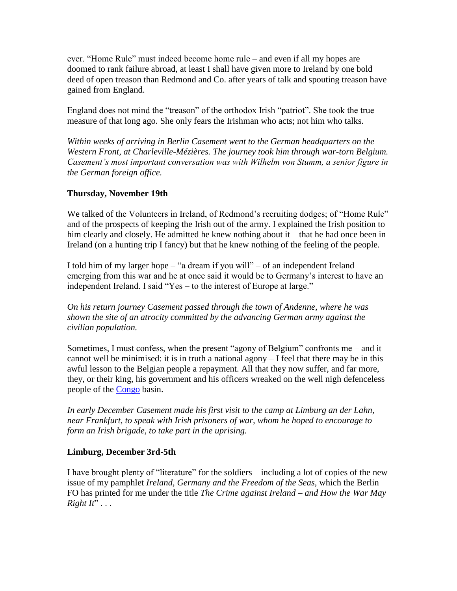ever. "Home Rule" must indeed become home rule – and even if all my hopes are doomed to rank failure abroad, at least I shall have given more to Ireland by one bold deed of open treason than Redmond and Co. after years of talk and spouting treason have gained from England.

England does not mind the "treason" of the orthodox Irish "patriot". She took the true measure of that long ago. She only fears the Irishman who acts; not him who talks.

*Within weeks of arriving in Berlin Casement went to the German headquarters on the Western Front, at Charleville-Mézières. The journey took him through war-torn Belgium. Casement's most important conversation was with Wilhelm von Stumm, a senior figure in the German foreign office.*

### **Thursday, November 19th**

We talked of the Volunteers in Ireland, of Redmond's recruiting dodges; of "Home Rule" and of the prospects of keeping the Irish out of the army. I explained the Irish position to him clearly and closely. He admitted he knew nothing about it – that he had once been in Ireland (on a hunting trip I fancy) but that he knew nothing of the feeling of the people.

I told him of my larger hope – "a dream if you will" – of an independent Ireland emerging from this war and he at once said it would be to Germany's interest to have an independent Ireland. I said "Yes – to the interest of Europe at large."

*On his return journey Casement passed through the town of Andenne, where he was shown the site of an atrocity committed by the advancing German army against the civilian population.*

Sometimes, I must confess, when the present "agony of Belgium" confronts me – and it cannot well be minimised: it is in truth a national agony – I feel that there may be in this awful lesson to the Belgian people a repayment. All that they now suffer, and far more, they, or their king, his government and his officers wreaked on the well nigh defenceless people of the **Congo** basin.

*In early December Casement made his first visit to the camp at Limburg an der Lahn, near Frankfurt, to speak with Irish prisoners of war, whom he hoped to encourage to form an Irish brigade, to take part in the uprising.*

### **Limburg, December 3rd-5th**

I have brought plenty of "literature" for the soldiers – including a lot of copies of the new issue of my pamphlet *Ireland, Germany and the Freedom of the Seas*, which the Berlin FO has printed for me under the title *The Crime against Ireland – and How the War May Right It*" . . .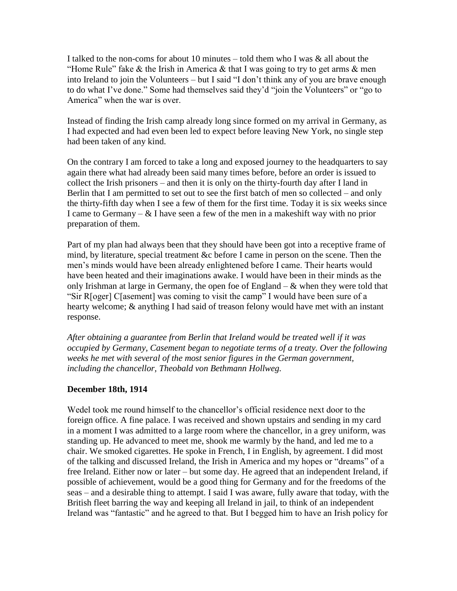I talked to the non-coms for about 10 minutes – told them who I was  $\&$  all about the "Home Rule" fake  $\&$  the Irish in America  $\&$  that I was going to try to get arms  $\&$  men into Ireland to join the Volunteers – but I said "I don't think any of you are brave enough to do what I've done." Some had themselves said they'd "join the Volunteers" or "go to America" when the war is over.

Instead of finding the Irish camp already long since formed on my arrival in Germany, as I had expected and had even been led to expect before leaving New York, no single step had been taken of any kind.

On the contrary I am forced to take a long and exposed journey to the headquarters to say again there what had already been said many times before, before an order is issued to collect the Irish prisoners – and then it is only on the thirty-fourth day after I land in Berlin that I am permitted to set out to see the first batch of men so collected – and only the thirty-fifth day when I see a few of them for the first time. Today it is six weeks since I came to Germany –  $&$  I have seen a few of the men in a makeshift way with no prior preparation of them.

Part of my plan had always been that they should have been got into a receptive frame of mind, by literature, special treatment &c before I came in person on the scene. Then the men's minds would have been already enlightened before I came. Their hearts would have been heated and their imaginations awake. I would have been in their minds as the only Irishman at large in Germany, the open foe of England –  $\&$  when they were told that "Sir R[oger] C[asement] was coming to visit the camp" I would have been sure of a hearty welcome; & anything I had said of treason felony would have met with an instant response.

*After obtaining a guarantee from Berlin that Ireland would be treated well if it was occupied by Germany, Casement began to negotiate terms of a treaty. Over the following weeks he met with several of the most senior figures in the German government, including the chancellor, Theobald von Bethmann Hollweg.*

#### **December 18th, 1914**

Wedel took me round himself to the chancellor's official residence next door to the foreign office. A fine palace. I was received and shown upstairs and sending in my card in a moment I was admitted to a large room where the chancellor, in a grey uniform, was standing up. He advanced to meet me, shook me warmly by the hand, and led me to a chair. We smoked cigarettes. He spoke in French, I in English, by agreement. I did most of the talking and discussed Ireland, the Irish in America and my hopes or "dreams" of a free Ireland. Either now or later – but some day. He agreed that an independent Ireland, if possible of achievement, would be a good thing for Germany and for the freedoms of the seas – and a desirable thing to attempt. I said I was aware, fully aware that today, with the British fleet barring the way and keeping all Ireland in jail, to think of an independent Ireland was "fantastic" and he agreed to that. But I begged him to have an Irish policy for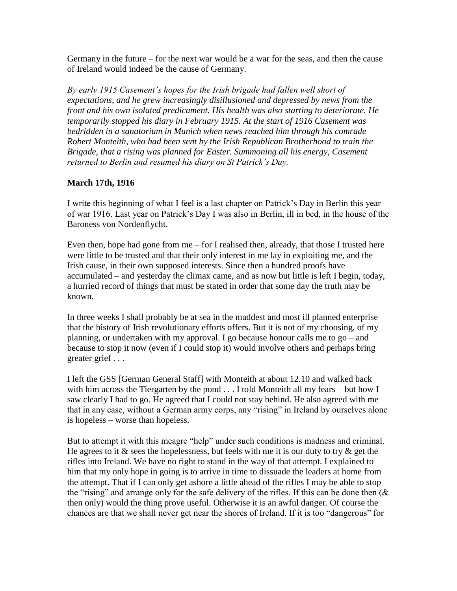Germany in the future – for the next war would be a war for the seas, and then the cause of Ireland would indeed be the cause of Germany.

*By early 1915 Casement's hopes for the Irish brigade had fallen well short of expectations, and he grew increasingly disillusioned and depressed by news from the front and his own isolated predicament. His health was also starting to deteriorate. He temporarily stopped his diary in February 1915. At the start of 1916 Casement was bedridden in a sanatorium in Munich when news reached him through his comrade Robert Monteith, who had been sent by the Irish Republican Brotherhood to train the Brigade, that a rising was planned for Easter. Summoning all his energy, Casement returned to Berlin and resumed his diary on St Patrick's Day.*

### **March 17th, 1916**

I write this beginning of what I feel is a last chapter on Patrick's Day in Berlin this year of war 1916. Last year on Patrick's Day I was also in Berlin, ill in bed, in the house of the Baroness von Nordenflycht.

Even then, hope had gone from me – for I realised then, already, that those I trusted here were little to be trusted and that their only interest in me lay in exploiting me, and the Irish cause, in their own supposed interests. Since then a hundred proofs have accumulated – and yesterday the climax came, and as now but little is left I begin, today, a hurried record of things that must be stated in order that some day the truth may be known.

In three weeks I shall probably be at sea in the maddest and most ill planned enterprise that the history of Irish revolutionary efforts offers. But it is not of my choosing, of my planning, or undertaken with my approval. I go because honour calls me to go – and because to stop it now (even if I could stop it) would involve others and perhaps bring greater grief . . .

I left the GSS [German General Staff] with Monteith at about 12.10 and walked back with him across the Tiergarten by the pond . . . I told Monteith all my fears – but how I saw clearly I had to go. He agreed that I could not stay behind. He also agreed with me that in any case, without a German army corps, any "rising" in Ireland by ourselves alone is hopeless – worse than hopeless.

But to attempt it with this meagre "help" under such conditions is madness and criminal. He agrees to it  $\&$  sees the hopelessness, but feels with me it is our duty to try  $\&$  get the rifles into Ireland. We have no right to stand in the way of that attempt. I explained to him that my only hope in going is to arrive in time to dissuade the leaders at home from the attempt. That if I can only get ashore a little ahead of the rifles I may be able to stop the "rising" and arrange only for the safe delivery of the rifles. If this can be done then  $\alpha$ then only) would the thing prove useful. Otherwise it is an awful danger. Of course the chances are that we shall never get near the shores of Ireland. If it is too "dangerous" for